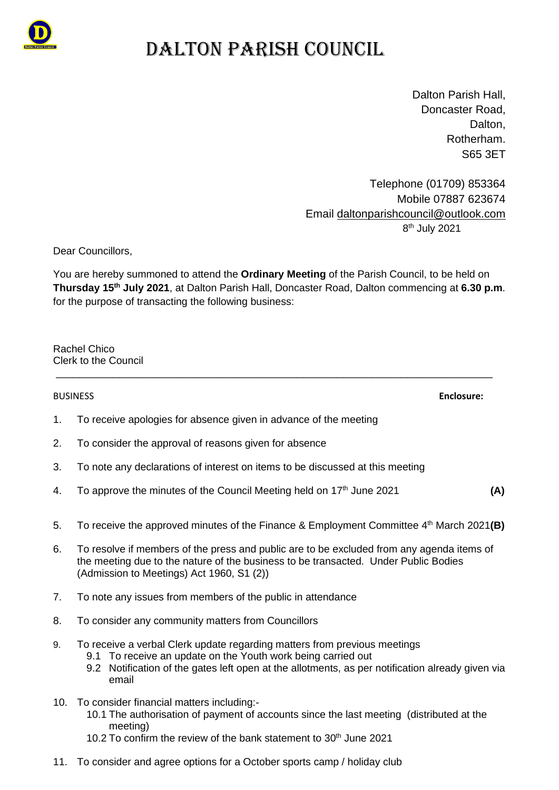

# DALTON PARISH COUNCIL

Dalton Parish Hall, Doncaster Road, Dalton. Rotherham. S65 3ET

Telephone (01709) 853364 Mobile 07887 623674 Email [daltonparishcouncil@outlook.com](mailto:daltonparishcouncil@outlook.com) 8 th July 2021

Dear Councillors,

You are hereby summoned to attend the **Ordinary Meeting** of the Parish Council, to be held on **Thursday 15 th July 2021**, at Dalton Parish Hall, Doncaster Road, Dalton commencing at **6.30 p.m**. for the purpose of transacting the following business:

\_\_\_\_\_\_\_\_\_\_\_\_\_\_\_\_\_\_\_\_\_\_\_\_\_\_\_\_\_\_\_\_\_\_\_\_\_\_\_\_\_\_\_\_\_\_\_\_\_\_\_\_\_\_\_\_\_\_\_\_\_\_\_\_\_\_\_\_\_\_\_\_\_\_\_\_

Rachel Chico Clerk to the Council

BUSINESS **Enclosure:**

1. To receive apologies for absence given in advance of the meeting

- 2. To consider the approval of reasons given for absence
- 3. To note any declarations of interest on items to be discussed at this meeting
- 4. To approve the minutes of the Council Meeting held on 17th June 2021 **(A)**
- 5. To receive the approved minutes of the Finance & Employment Committee 4<sup>th</sup> March 2021(B)
- 6. To resolve if members of the press and public are to be excluded from any agenda items of the meeting due to the nature of the business to be transacted. Under Public Bodies (Admission to Meetings) Act 1960, S1 (2))
- 7. To note any issues from members of the public in attendance
- 8. To consider any community matters from Councillors
- 9. To receive a verbal Clerk update regarding matters from previous meetings
	- 9.1 To receive an update on the Youth work being carried out
	- 9.2 Notification of the gates left open at the allotments, as per notification already given via email
- 10. To consider financial matters including:-
	- 10.1 The authorisation of payment of accounts since the last meeting (distributed at the meeting)
	- 10.2 To confirm the review of the bank statement to  $30<sup>th</sup>$  June 2021
- 11. To consider and agree options for a October sports camp / holiday club